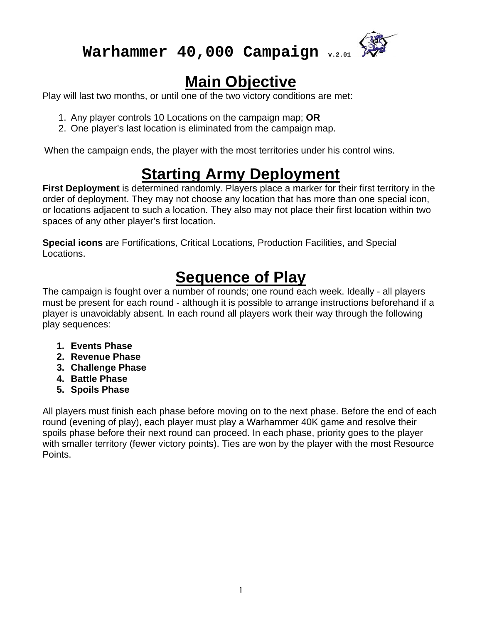

# **Main Objective**

Play will last two months, or until one of the two victory conditions are met:

- 1. Any player controls 10 Locations on the campaign map; **OR**
- 2. One player's last location is eliminated from the campaign map.

When the campaign ends, the player with the most territories under his control wins.

# **Starting Army Deployment**

**First Deployment** is determined randomly. Players place a marker for their first territory in the order of deployment. They may not choose any location that has more than one special icon, or locations adjacent to such a location. They also may not place their first location within two spaces of any other player's first location.

**Special icons** are Fortifications, Critical Locations, Production Facilities, and Special Locations.

# **Sequence of Play**

The campaign is fought over a number of rounds; one round each week. Ideally - all players must be present for each round - although it is possible to arrange instructions beforehand if a player is unavoidably absent. In each round all players work their way through the following play sequences:

- **1. Events Phase**
- **2. Revenue Phase**
- **3. Challenge Phase**
- **4. Battle Phase**
- **5. Spoils Phase**

All players must finish each phase before moving on to the next phase. Before the end of each round (evening of play), each player must play a Warhammer 40K game and resolve their spoils phase before their next round can proceed. In each phase, priority goes to the player with smaller territory (fewer victory points). Ties are won by the player with the most Resource Points.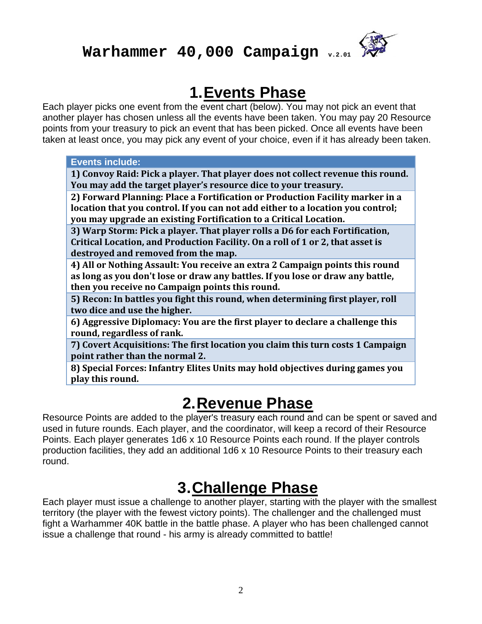

### **1. Events Phase**

Each player picks one event from the event chart (below). You may not pick an event that another player has chosen unless all the events have been taken. You may pay 20 Resource points from your treasury to pick an event that has been picked. Once all events have been taken at least once, you may pick any event of your choice, even if it has already been taken.

| <b>Events include:</b> |
|------------------------|
|                        |
|                        |

**1) Convoy Raid: Pick a player. That player does not collect revenue this round. You may add the target player's resource dice to your treasury.** 

**2) Forward Planning: Place a Fortification or Production Facility marker in a location that you control. If you can not add either to a location you control; you may upgrade an existing Fortification to a Critical Location.**

**3) Warp Storm: Pick a player. That player rolls a D6 for each Fortification, Critical Location, and Production Facility. On a roll of 1 or 2, that asset is destroyed and removed from the map.**

**4) All or Nothing Assault: You receive an extra 2 Campaign points this round as long as you don't lose or draw any battles. If you lose or draw any battle, then you receive no Campaign points this round.** 

**5) Recon: In battles you fight this round, when determining first player, roll two dice and use the higher.**

**6) Aggressive Diplomacy: You are the first player to declare a challenge this round, regardless of rank.** 

**7) Covert Acquisitions: The first location you claim this turn costs 1 Campaign point rather than the normal 2.**

**8) Special Forces: Infantry Elites Units may hold objectives during games you play this round.**

### **2. Revenue Phase**

Resource Points are added to the player's treasury each round and can be spent or saved and used in future rounds. Each player, and the coordinator, will keep a record of their Resource Points. Each player generates 1d6 x 10 Resource Points each round. If the player controls production facilities, they add an additional 1d6 x 10 Resource Points to their treasury each round.

# **3. Challenge Phase**

Each player must issue a challenge to another player, starting with the player with the smallest territory (the player with the fewest victory points). The challenger and the challenged must fight a Warhammer 40K battle in the battle phase. A player who has been challenged cannot issue a challenge that round - his army is already committed to battle!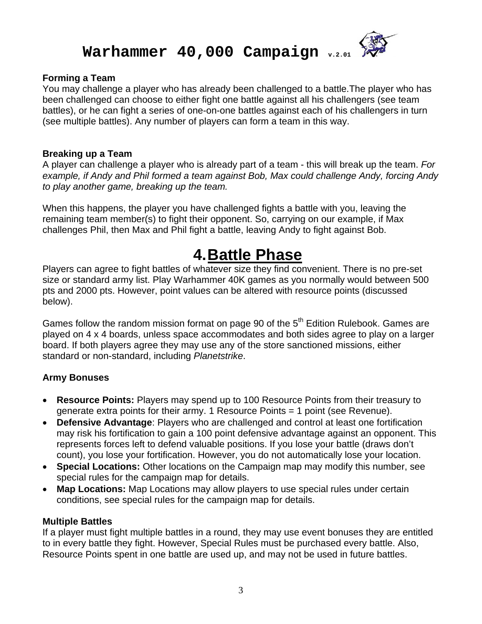

#### **Forming a Team**

You may challenge a player who has already been challenged to a battle.The player who has been challenged can choose to either fight one battle against all his challengers (see team battles), or he can fight a series of one-on-one battles against each of his challengers in turn (see multiple battles). Any number of players can form a team in this way.

#### **Breaking up a Team**

A player can challenge a player who is already part of a team - this will break up the team. *For example, if Andy and Phil formed a team against Bob, Max could challenge Andy, forcing Andy to play another game, breaking up the team.* 

When this happens, the player you have challenged fights a battle with you, leaving the remaining team member(s) to fight their opponent. So, carrying on our example, if Max challenges Phil, then Max and Phil fight a battle, leaving Andy to fight against Bob.

## **4. Battle Phase**

Players can agree to fight battles of whatever size they find convenient. There is no pre-set size or standard army list. Play Warhammer 40K games as you normally would between 500 pts and 2000 pts. However, point values can be altered with resource points (discussed below).

Games follow the random mission format on page 90 of the  $5<sup>th</sup>$  Edition Rulebook. Games are played on 4 x 4 boards, unless space accommodates and both sides agree to play on a larger board. If both players agree they may use any of the store sanctioned missions, either standard or non-standard, including *Planetstrike*.

#### **Army Bonuses**

- **Resource Points:** Players may spend up to 100 Resource Points from their treasury to generate extra points for their army. 1 Resource Points = 1 point (see Revenue).
- **Defensive Advantage**: Players who are challenged and control at least one fortification may risk his fortification to gain a 100 point defensive advantage against an opponent. This represents forces left to defend valuable positions. If you lose your battle (draws don't count), you lose your fortification. However, you do not automatically lose your location.
- **Special Locations:** Other locations on the Campaign map may modify this number, see special rules for the campaign map for details.
- **Map Locations:** Map Locations may allow players to use special rules under certain conditions, see special rules for the campaign map for details.

#### **Multiple Battles**

If a player must fight multiple battles in a round, they may use event bonuses they are entitled to in every battle they fight. However, Special Rules must be purchased every battle. Also, Resource Points spent in one battle are used up, and may not be used in future battles.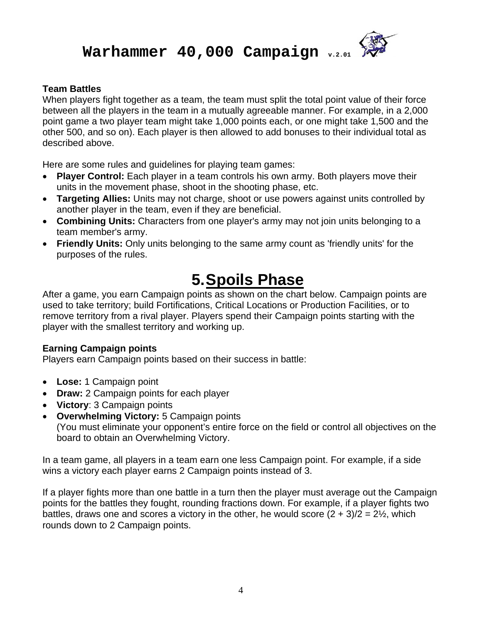

#### **Team Battles**

When players fight together as a team, the team must split the total point value of their force between all the players in the team in a mutually agreeable manner. For example, in a 2,000 point game a two player team might take 1,000 points each, or one might take 1,500 and the other 500, and so on). Each player is then allowed to add bonuses to their individual total as described above.

Here are some rules and guidelines for playing team games:

- **Player Control:** Each player in a team controls his own army. Both players move their units in the movement phase, shoot in the shooting phase, etc.
- **Targeting Allies:** Units may not charge, shoot or use powers against units controlled by another player in the team, even if they are beneficial.
- **Combining Units:** Characters from one player's army may not join units belonging to a team member's army.
- **Friendly Units:** Only units belonging to the same army count as 'friendly units' for the purposes of the rules.

## **5. Spoils Phase**

After a game, you earn Campaign points as shown on the chart below. Campaign points are used to take territory; build Fortifications, Critical Locations or Production Facilities, or to remove territory from a rival player. Players spend their Campaign points starting with the player with the smallest territory and working up.

#### **Earning Campaign points**

Players earn Campaign points based on their success in battle:

- **Lose:** 1 Campaign point
- **Draw:** 2 Campaign points for each player
- **Victory**: 3 Campaign points
- **Overwhelming Victory:** 5 Campaign points (You must eliminate your opponent's entire force on the field or control all objectives on the board to obtain an Overwhelming Victory.

In a team game, all players in a team earn one less Campaign point. For example, if a side wins a victory each player earns 2 Campaign points instead of 3.

If a player fights more than one battle in a turn then the player must average out the Campaign points for the battles they fought, rounding fractions down. For example, if a player fights two battles, draws one and scores a victory in the other, he would score  $(2 + 3)/2 = 2\frac{1}{2}$ , which rounds down to 2 Campaign points.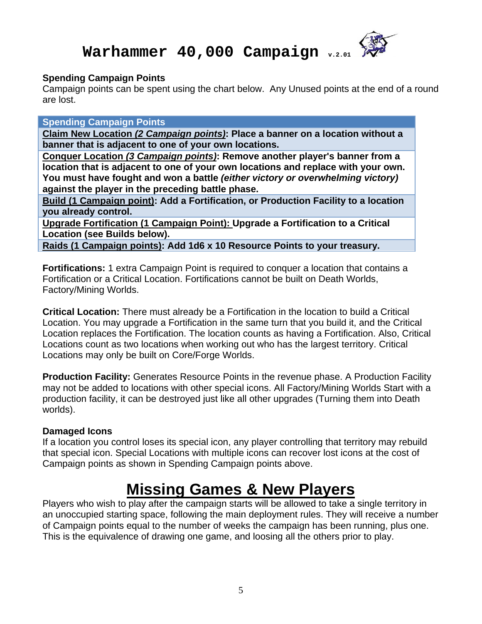

#### **Spending Campaign Points**

Campaign points can be spent using the chart below. Any Unused points at the end of a round are lost.

**Spending Campaign Points** 

**Claim New Location** *(2 Campaign points)***: Place a banner on a location without a banner that is adjacent to one of your own locations.** 

**Conquer Location** *(3 Campaign points)***: Remove another player's banner from a location that is adjacent to one of your own locations and replace with your own. You must have fought and won a battle** *(either victory or overwhelming victory)* **against the player in the preceding battle phase.** 

**Build (1 Campaign point): Add a Fortification, or Production Facility to a location you already control.** 

**Upgrade Fortification (1 Campaign Point): Upgrade a Fortification to a Critical Location (see Builds below).** 

**Raids (1 Campaign points): Add 1d6 x 10 Resource Points to your treasury.** 

**Fortifications:** 1 extra Campaign Point is required to conquer a location that contains a Fortification or a Critical Location. Fortifications cannot be built on Death Worlds, Factory/Mining Worlds.

**Critical Location:** There must already be a Fortification in the location to build a Critical Location. You may upgrade a Fortification in the same turn that you build it, and the Critical Location replaces the Fortification. The location counts as having a Fortification. Also, Critical Locations count as two locations when working out who has the largest territory. Critical Locations may only be built on Core/Forge Worlds.

**Production Facility:** Generates Resource Points in the revenue phase. A Production Facility may not be added to locations with other special icons. All Factory/Mining Worlds Start with a production facility, it can be destroyed just like all other upgrades (Turning them into Death worlds).

#### **Damaged Icons**

If a location you control loses its special icon, any player controlling that territory may rebuild that special icon. Special Locations with multiple icons can recover lost icons at the cost of Campaign points as shown in Spending Campaign points above.

## **Missing Games & New Players**

Players who wish to play after the campaign starts will be allowed to take a single territory in an unoccupied starting space, following the main deployment rules. They will receive a number of Campaign points equal to the number of weeks the campaign has been running, plus one. This is the equivalence of drawing one game, and loosing all the others prior to play.